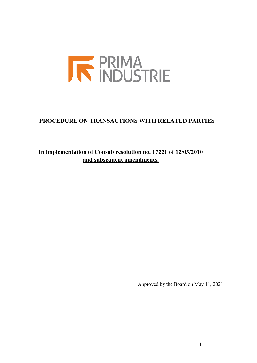

# **PROCEDURE ON TRANSACTIONS WITH RELATED PARTIES**

**In implementation of Consob resolution no. 17221 of 12/03/2010 and subsequent amendments.**

Approved by the Board on May 11, 2021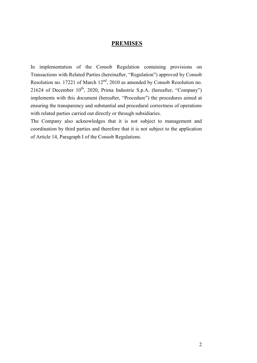### **PREMISES**

In implementation of the Consob Regulation containing provisions on Transactions with Related Parties (hereinafter, "Regulation") approved by Consob Resolution no. 17221 of March 12nd, 2010 as amended by Consob Resolution no. 21624 of December  $10^{th}$ , 2020, Prima Industrie S.p.A. (hereafter, "Company") implements with this document (hereafter, "Procedure") the procedures aimed at ensuring the transparency and substantial and procedural correctness of operations with related parties carried out directly or through subsidiaries.

The Company also acknowledges that it is not subject to management and coordination by third parties and therefore that it is not subject to the application of Article 14, Paragraph I of the Consob Regulations.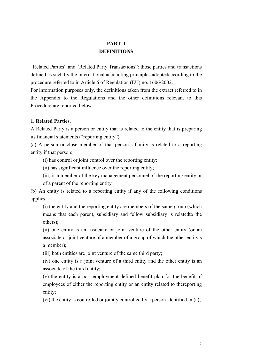# **PART I DEFINITIONS**

"Related Parties" and "Related Party Transactions": those parties and transactions defined as such by the international accounting principles adoptedaccording to the procedure referred to in Article 6 of Regulation (EU) no. 1606/2002.

For information purposes only, the definitions taken from the extract referred to in the Appendix to the Regulations and the other definitions relevant to this Procedure are reported below.

### **1. Related Parties.**

A Related Party is a person or entity that is related to the entity that is preparing its financial statements ("reporting entity").

(a) A person or close member of that person's family is related to a reporting entity if that person:

(i) has control or joint control over the reporting entity;

(ii) has significant influence over the reporting entity;

(iii) is a member of the key management personnel of the reporting entity or of a parent of the reporting entity.

(b) An entity is related to a reporting entity if any of the following conditions applies:

(i) the entity and the reporting entity are members of the same group (which means that each parent, subsidiary and fellow subsidiary is relatedto the others);

(ii) one entity is an associate or joint venture of the other entity (or an associate or joint venture of a member of a group of which the other entityis a member);

(iii) both entities are joint venture of the same third party;

(iv) one entity is a joint venture of a third entity and the other entity is an associate of the third entity;

(v) the entity is a post-employment defined benefit plan for the benefit of employees of either the reporting entity or an entity related to thereporting entity;

(vi) the entity is controlled or jointly controlled by a person identified in (a);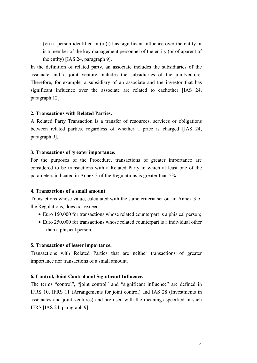(vii) a person identified in (a)(i) has significant influence over the entity or is a member of the key management personnel of the entity (or of aparent of the entity) [IAS 24, paragraph 9].

In the definition of related party, an associate includes the subsidiaries of the associate and a joint venture includes the subsidiaries of the jointventure. Therefore, for example, a subsidiary of an associate and the investor that has significant influence over the associate are related to eachother [IAS 24, paragraph 12].

#### **2. Transactions with Related Parties.**

A Related Party Transaction is a transfer of resources, services or obligations between related parties, regardless of whether a price is charged [IAS 24, paragraph 9].

#### **3. Transactions of greater importance.**

For the purposes of the Procedure, transactions of greater importance are considered to be transactions with a Related Party in which at least one of the parameters indicated in Annex 3 of the Regulations is greater than 5%.

### **4. Transactions of a small amount.**

Transactions whose value, calculated with the same criteria set out in Annex 3 of the Regulations, does not exceed:

- Euro 150.000 for transactions whose related counterpart is a phisical person;
- Euro 250.000 for transactions whose related counterpart is a individual other than a phisical person.

#### **5. Transactions of lesser importance.**

Transactions with Related Parties that are neither transactions of greater importance nor transactions of a small amount.

### **6. Control, Joint Control and Significant Influence.**

The terms "control", "joint control" and "significant influence" are defined in IFRS 10, IFRS 11 (Arrangements for joint control) and IAS 28 (Investments in associates and joint ventures) and are used with the meanings specified in such IFRS [IAS 24, paragraph 9].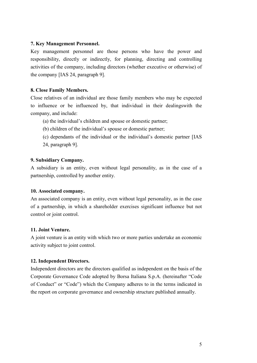### **7. Key Management Personnel.**

Key management personnel are those persons who have the power and responsibility, directly or indirectly, for planning, directing and controlling activities of the company, including directors (whether executive or otherwise) of the company [IAS 24, paragraph 9].

### **8. Close Family Members.**

Close relatives of an individual are those family members who may be expected to influence or be influenced by, that individual in their dealingswith the company, and include:

- (a) the individual's children and spouse or domestic partner;
- (b) children of the individual's spouse or domestic partner;
- (c) dependants of the individual or the individual's domestic partner [IAS 24, paragraph 9].

#### **9. Subsidiary Company.**

A subsidiary is an entity, even without legal personality, as in the case of a partnership, controlled by another entity.

#### **10. Associated company.**

An associated company is an entity, even without legal personality, as in the case of a partnership, in which a shareholder exercises significant influence but not control or joint control.

### **11. Joint Venture.**

A joint venture is an entity with which two or more parties undertake an economic activity subject to joint control.

#### **12. Independent Directors.**

Independent directors are the directors qualified as independent on the basis of the Corporate Governance Code adopted by Borsa Italiana S.p.A. (hereinafter "Code of Conduct" or "Code") which the Company adheres to in the terms indicated in the report on corporate governance and ownership structure published annually.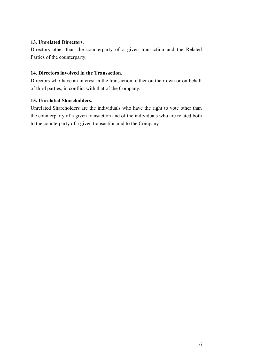## **13. Unrelated Directors.**

Directors other than the counterparty of a given transaction and the Related Parties of the counterparty.

## **14. Directors involved in the Transaction.**

Directors who have an interest in the transaction, either on their own or on behalf of third parties, in conflict with that of the Company.

## **15. Unrelated Shareholders.**

Unrelated Shareholders are the individuals who have the right to vote other than the counterparty of a given transaction and of the individuals who are related both to the counterparty of a given transaction and to the Company.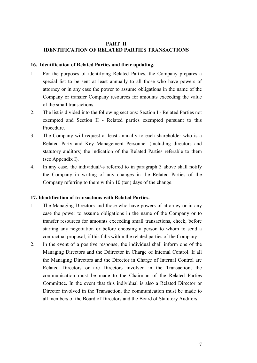### **PART II IDENTIFICATION OF RELATED PARTIES TRANSACTIONS**

### **16. Identification of Related Parties and their updating.**

- 1. For the purposes of identifying Related Parties, the Company prepares a special list to be sent at least annually to all those who have powers of attorney or in any case the power to assume obligations in the name of the Company or transfer Company resources for amounts exceeding the value of the small transactions.
- 2. The list is divided into the following sections: Section I Related Parties not exempted and Section II - Related parties exempted pursuant to this Procedure.
- 3. The Company will request at least annually to each shareholder who is a Related Party and Key Management Personnel (including directors and statutory auditors) the indication of the Related Parties referable to them (see Appendix I).
- 4. In any case, the individual/-s referred to in paragraph 3 above shall notify the Company in writing of any changes in the Related Parties of the Company referring to them within 10 (ten) days of the change.

### **17. Identification of transactions with Related Parties.**

- 1. The Managing Directors and those who have powers of attorney or in any case the power to assume obligations in the name of the Company or to transfer resources for amounts exceeding small transactions, check, before starting any negotiation or before choosing a person to whom to send a contractual proposal, if this falls within the related parties of the Company.
- 2. In the event of a positive response, the individual shall inform one of the Managing Directors and the Ddirector in Charge of Internal Control. If all the Managing Directors and the Director in Charge of Internal Control are Related Directors or are Directors involved in the Transaction, the communication must be made to the Chairman of the Related Parties Committee. In the event that this individual is also a Related Director or Director involved in the Transaction, the communication must be made to all members of the Board of Directors and the Board of Statutory Auditors.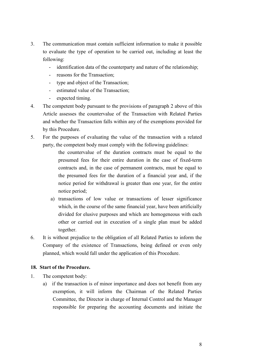- 3. The communication must contain sufficient information to make it possible to evaluate the type of operation to be carried out, including at least the following:
	- identification data of the counterparty and nature of the relationship;
	- reasons for the Transaction;
	- type and object of the Transaction;
	- estimated value of the Transaction;
	- expected timing.
- 4. The competent body pursuant to the provisions of paragraph 2 above of this Article assesses the countervalue of the Transaction with Related Parties and whether the Transaction falls within any of the exemptions provided for by this Procedure.
- 5. For the purposes of evaluating the value of the transaction with a related party, the competent body must comply with the following guidelines:
	- the countervalue of the duration contracts must be equal to the presumed fees for their entire duration in the case of fixed-term contracts and, in the case of permanent contracts, must be equal to the presumed fees for the duration of a financial year and, if the notice period for withdrawal is greater than one year, for the entire notice period;
	- a) transactions of low value or transactions of lesser significance which, in the course of the same financial year, have been artificially divided for elusive purposes and which are homogeneous with each other or carried out in execution of a single plan must be added together.
- 6. It is without prejudice to the obligation of all Related Parties to inform the Company of the existence of Transactions, being defined or even only planned, which would fall under the application of this Procedure.

## **18. Start of the Procedure.**

- 1. The competent body:
	- a) if the transaction is of minor importance and does not benefit from any exemption, it will inform the Chairman of the Related Parties Committee, the Director in charge of Internal Control and the Manager responsible for preparing the accounting documents and initiate the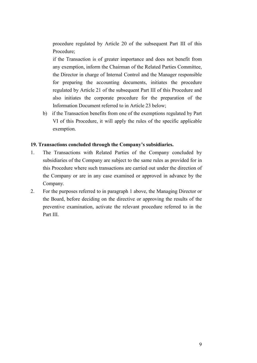procedure regulated by Article 20 of the subsequent Part III of this Procedure;

if the Transaction is of greater importance and does not benefit from any exemption, inform the Chairman of the Related Parties Committee, the Director in charge of Internal Control and the Manager responsible for preparing the accounting documents, initiates the procedure regulated by Article 21 of the subsequent Part III of this Procedure and also initiates the corporate procedure for the preparation of the Information Document referred to in Article 23 below;

b) if the Transaction benefits from one of the exemptions regulated by Part VI of this Procedure, it will apply the rules of the specific applicable exemption.

### **19. Transactions concluded through the Company's subsidiaries.**

- 1. The Transactions with Related Parties of the Company concluded by subsidiaries of the Company are subject to the same rules as provided for in this Procedure where such transactions are carried out under the direction of the Company or are in any case examined or approved in advance by the Company.
- 2. For the purposes referred to in paragraph 1 above, the Managing Director or the Board, before deciding on the directive or approving the results of the preventive examination, activate the relevant procedure referred to in the Part III.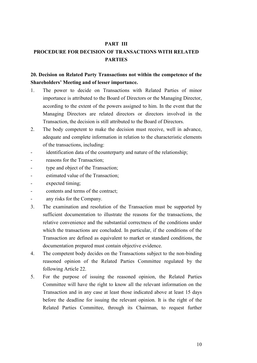## **PART III**

# **PROCEDURE FOR DECISION OF TRANSACTIONS WITH RELATED PARTIES**

## **20. Decision on Related Party Transactions not within the competence of the Shareholders' Meeting and of lesser importance.**

- 1. The power to decide on Transactions with Related Parties of minor importance is attributed to the Board of Directors or the Managing Director, according to the extent of the powers assigned to him. In the event that the Managing Directors are related directors or directors involved in the Transaction, the decision is still attributed to the Board of Directors.
- 2. The body competent to make the decision must receive, well in advance, adequate and complete information in relation to the characteristic elements of the transactions, including:
- identification data of the counterparty and nature of the relationship;
- reasons for the Transaction;
- type and object of the Transaction;
- estimated value of the Transaction:
- expected timing;
- contents and terms of the contract;
- any risks for the Company.
- 3. The examination and resolution of the Transaction must be supported by sufficient documentation to illustrate the reasons for the transactions, the relative convenience and the substantial correctness of the conditions under which the transactions are concluded. In particular, if the conditions of the Transaction are defined as equivalent to market or standard conditions, the documentation prepared must contain objective evidence.
- 4. The competent body decides on the Transactions subject to the non-binding reasoned opinion of the Related Parties Committee regulated by the following Article 22.
- 5. For the purpose of issuing the reasoned opinion, the Related Parties Committee will have the right to know all the relevant information on the Transaction and in any case at least those indicated above at least 15 days before the deadline for issuing the relevant opinion. It is the right of the Related Parties Committee, through its Chairman, to request further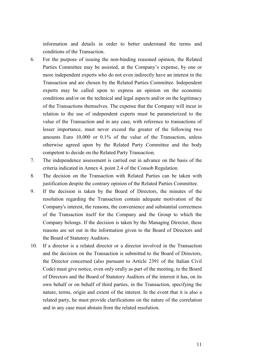information and details in order to better understand the terms and conditions of the Transaction.

- 6. For the purpose of issuing the non-binding reasoned opinion, the Related Parties Committee may be assisted, at the Company's expense, by one or more independent experts who do not even indirectly have an interest in the Transaction and are chosen by the Related Parties Committee. Independent experts may be called upon to express an opinion on the economic conditions and/or on the technical and legal aspects and/or on the legitimacy of the Transactions themselves. The expense that the Company will incur in relation to the use of independent experts must be parameterized to the value of the Transaction and in any case, with reference to transactions of lesser importance, must never exceed the greater of the following two amounts Euro 10,000 or 0.1% of the value of the Transaction, unless otherwise agreed upon by the Related Party Committee and the body competent to decide on the Related Party Transaction.
- 7. The independence assessment is carried out in advance on the basis of the criteria indicated in Annex 4, point 2.4 of the Consob Regulation.
- 8. The decision on the Transaction with Related Parties can be taken with justification despite the contrary opinion of the Related Parties Committee.
- 9. If the decision is taken by the Board of Directors, the minutes of the resolution regarding the Transaction contain adequate motivation of the Company's interest, the reasons, the convenience and substantial correctness of the Transaction itself for the Company and the Group to which the Company belongs. If the decision is taken by the Managing Director, these reasons are set out in the information given to the Board of Directors and the Board of Statutory Auditors.
- 10. If a director is a related director or a director involved in the Transaction and the decision on the Transaction is submitted to the Board of Directors, the Director concerned (also pursuant to Article 2391 of the Italian Civil Code) must give notice, even only orally as part of the meeting, to the Board of Directors and the Board of Statutory Auditors of the interest it has, on its own behalf or on behalf of third parties, in the Transaction, specifying the nature, terms, origin and extent of the interest. In the event that it is also a related party, he must provide clarifications on the nature of the correlation and in any case must abstain from the related resolution.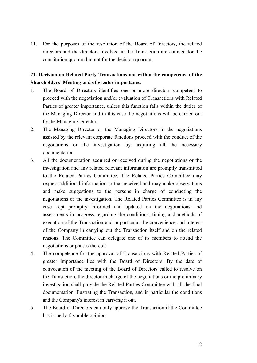11. For the purposes of the resolution of the Board of Directors, the related directors and the directors involved in the Transaction are counted for the constitution quorum but not for the decision quorum.

# **21. Decision on Related Party Transactions not within the competence of the Shareholders' Meeting and of greater importance.**

- 1. The Board of Directors identifies one or more directors competent to proceed with the negotiation and/or evaluation of Transactions with Related Parties of greater importance, unless this function falls within the duties of the Managing Director and in this case the negotiations will be carried out by the Managing Director.
- 2. The Managing Director or the Managing Directors in the negotiations assisted by the relevant corporate functions proceed with the conduct of the negotiations or the investigation by acquiring all the necessary documentation.
- 3. All the documentation acquired or received during the negotiations or the investigation and any related relevant information are promptly transmitted to the Related Parties Committee. The Related Parties Committee may request additional information to that received and may make observations and make suggestions to the persons in charge of conducting the negotiations or the investigation. The Related Parties Committee is in any case kept promptly informed and updated on the negotiations and assessments in progress regarding the conditions, timing and methods of execution of the Transaction and in particular the convenience and interest of the Company in carrying out the Transaction itself and on the related reasons. The Committee can delegate one of its members to attend the negotiations or phases thereof.
- 4. The competence for the approval of Transactions with Related Parties of greater importance lies with the Board of Directors. By the date of convocation of the meeting of the Board of Directors called to resolve on the Transaction, the director in charge of the negotiations or the preliminary investigation shall provide the Related Parties Committee with all the final documentation illustrating the Transaction, and in particular the conditions and the Company's interest in carrying it out.
- 5. The Board of Directors can only approve the Transaction if the Committee has issued a favorable opinion.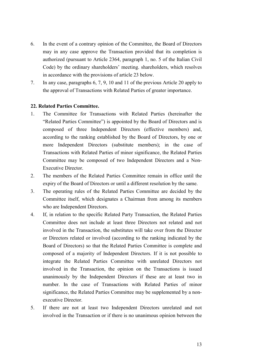- 6. In the event of a contrary opinion of the Committee, the Board of Directors may in any case approve the Transaction provided that its completion is authorized (pursuant to Article 2364, paragraph 1, no. 5 of the Italian Civil Code) by the ordinary shareholders' meeting. shareholders, which resolves in accordance with the provisions of article 23 below.
- 7. In any case, paragraphs 6, 7, 9, 10 and 11 of the previous Article 20 apply to the approval of Transactions with Related Parties of greater importance.

#### **22. Related Parties Committee.**

- 1. The Committee for Transactions with Related Parties (hereinafter the "Related Parties Committee") is appointed by the Board of Directors and is composed of three Independent Directors (effective members) and, according to the ranking established by the Board of Directors, by one or more Independent Directors (substitute members); in the case of Transactions with Related Parties of minor significance, the Related Parties Committee may be composed of two Independent Directors and a Non-Executive Director.
- 2. The members of the Related Parties Committee remain in office until the expiry of the Board of Directors or until a different resolution by the same.
- 3. The operating rules of the Related Parties Committee are decided by the Committee itself, which designates a Chairman from among its members who are Independent Directors.
- 4. If, in relation to the specific Related Party Transaction, the Related Parties Committee does not include at least three Directors not related and not involved in the Transaction, the substitutes will take over from the Director or Directors related or involved (according to the ranking indicated by the Board of Directors) so that the Related Parties Committee is complete and composed of a majority of Independent Directors. If it is not possible to integrate the Related Parties Committee with unrelated Directors not involved in the Transaction, the opinion on the Transactions is issued unanimously by the Independent Directors if these are at least two in number. In the case of Transactions with Related Parties of minor significance, the Related Parties Committee may be supplemented by a nonexecutive Director.
- 5. If there are not at least two Independent Directors unrelated and not involved in the Transaction or if there is no unanimous opinion between the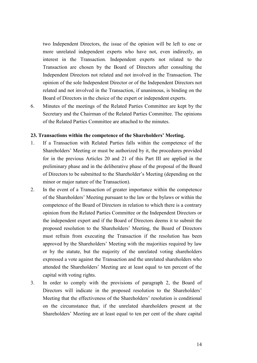two Independent Directors, the issue of the opinion will be left to one or more unrelated independent experts who have not, even indirectly, an interest in the Transaction. Independent experts not related to the Transaction are chosen by the Board of Directors after consulting the Independent Directors not related and not involved in the Transaction. The opinion of the sole Independent Director or of the Independent Directors not related and not involved in the Transaction, if unanimous, is binding on the Board of Directors in the choice of the expert or independent experts.

6. Minutes of the meetings of the Related Parties Committee are kept by the Secretary and the Chairman of the Related Parties Committee. The opinions of the Related Parties Committee are attached to the minutes.

#### **23. Transactions within the competence of the Shareholders' Meeting.**

- 1. If a Transaction with Related Parties falls within the competence of the Shareholders' Meeting or must be authorized by it, the procedures provided for in the previous Articles 20 and 21 of this Part III are applied in the preliminary phase and in the deliberative phase of the proposal of the Board of Directors to be submitted to the Shareholder's Meeting (depending on the minor or major nature of the Transaction).
- 2. In the event of a Transaction of greater importance within the competence of the Shareholders' Meeting pursuant to the law or the bylaws or within the competence of the Board of Directors in relation to which there is a contrary opinion from the Related Parties Committee or the Independent Directors or the independent expert and if the Board of Directors deems it to submit the proposed resolution to the Shareholders' Meeting, the Board of Directors must refrain from executing the Transaction if the resolution has been approved by the Shareholders' Meeting with the majorities required by law or by the statute, but the majority of the unrelated voting shareholders expressed a vote against the Transaction and the unrelated shareholders who attended the Shareholders' Meeting are at least equal to ten percent of the capital with voting rights.
- 3. In order to comply with the provisions of paragraph 2, the Board of Directors will indicate in the proposed resolution to the Shareholders' Meeting that the effectiveness of the Shareholders' resolution is conditional on the circumstance that, if the unrelated shareholders present at the Shareholders' Meeting are at least equal to ten per cent of the share capital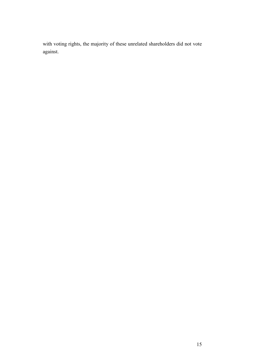with voting rights, the majority of these unrelated shareholders did not vote against.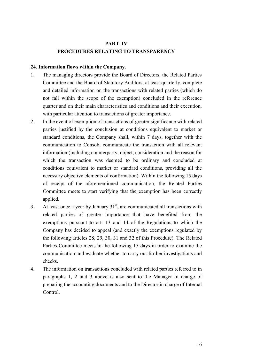# **PART IV PROCEDURES RELATING TO TRANSPARENCY**

### **24. Information flows within the Company.**

- 1. The managing directors provide the Board of Directors, the Related Parties Committee and the Board of Statutory Auditors, at least quarterly, complete and detailed information on the transactions with related parties (which do not fall within the scope of the exemption) concluded in the reference quarter and on their main characteristics and conditions and their execution, with particular attention to transactions of greater importance.
- 2. In the event of exemption of transactions of greater significance with related parties justified by the conclusion at conditions equivalent to market or standard conditions, the Company shall, within 7 days, together with the communication to Consob, communicate the transaction with all relevant information (including counterparty, object, consideration and the reason for which the transaction was deemed to be ordinary and concluded at conditions equivalent to market or standard conditions, providing all the necessary objective elements of confirmation). Within the following 15 days of receipt of the aforementioned communication, the Related Parties Committee meets to start verifying that the exemption has been correctly applied.
- 3. At least once a year by January  $31<sup>st</sup>$ , are communicated all transactions with related parties of greater importance that have benefited from the exemptions pursuant to art. 13 and 14 of the Regulations to which the Company has decided to appeal (and exactly the exemptions regulated by the following articles 28, 29, 30, 31 and 32 of this Procedure). The Related Parties Committee meets in the following 15 days in order to examine the communication and evaluate whether to carry out further investigations and checks.
- 4. The information on transactions concluded with related parties referred to in paragraphs 1, 2 and 3 above is also sent to the Manager in charge of preparing the accounting documents and to the Director in charge of Internal Control.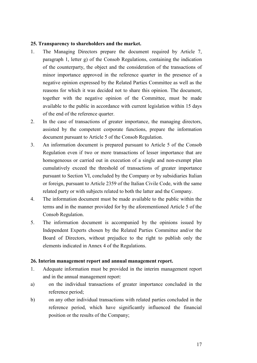#### **25. Transparency to shareholders and the market.**

- 1. The Managing Directors prepare the document required by Article 7, paragraph 1, letter g) of the Consob Regulations, containing the indication of the counterparty, the object and the consideration of the transactions of minor importance approved in the reference quarter in the presence of a negative opinion expressed by the Related Parties Committee as well as the reasons for which it was decided not to share this opinion. The document, together with the negative opinion of the Committee, must be made available to the public in accordance with current legislation within 15 days of the end of the reference quarter.
- 2. In the case of transactions of greater importance, the managing directors, assisted by the competent corporate functions, prepare the information document pursuant to Article 5 of the Consob Regulation.
- 3. An information document is prepared pursuant to Article 5 of the Consob Regulation even if two or more transactions of lesser importance that are homogeneous or carried out in execution of a single and non-exempt plan cumulatively exceed the threshold of transactions of greater importance pursuant to Section VI, concluded by the Company or by subsidiaries Italian or foreign, pursuant to Article 2359 of the Italian Civile Code, with the same related party or with subjects related to both the latter and the Company.
- 4. The information document must be made available to the public within the terms and in the manner provided for by the aforementioned Article 5 of the Consob Regulation.
- 5. The information document is accompanied by the opinions issued by Independent Experts chosen by the Related Parties Committee and/or the Board of Directors, without prejudice to the right to publish only the elements indicated in Annex 4 of the Regulations.

#### **26. Interim management report and annual management report.**

- 1. Adequate information must be provided in the interim management report and in the annual management report:
- a) on the individual transactions of greater importance concluded in the reference period;
- b) on any other individual transactions with related parties concluded in the reference period, which have significantly influenced the financial position or the results of the Company;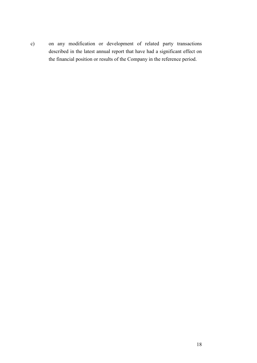c) on any modification or development of related party transactions described in the latest annual report that have had a significant effect on the financial position or results of the Company in the reference period.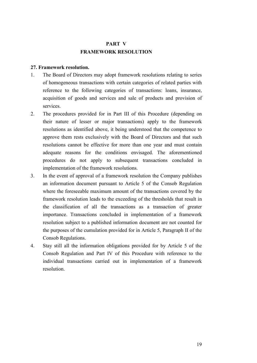# **PART V FRAMEWORK RESOLUTION**

### **27. Framework resolution.**

- 1. The Board of Directors may adopt framework resolutions relating to series of homogeneous transactions with certain categories of related parties with reference to the following categories of transactions: loans, insurance, acquisition of goods and services and sale of products and provision of services.
- 2. The procedures provided for in Part III of this Procedure (depending on their nature of lesser or major transactions) apply to the framework resolutions as identified above, it being understood that the competence to approve them rests exclusively with the Board of Directors and that such resolutions cannot be effective for more than one year and must contain adequate reasons for the conditions envisaged. The aforementioned procedures do not apply to subsequent transactions concluded in implementation of the framework resolutions.
- 3. In the event of approval of a framework resolution the Company publishes an information document pursuant to Article 5 of the Consob Regulation where the foreseeable maximum amount of the transactions covered by the framework resolution leads to the exceeding of the thresholds that result in the classification of all the transactions as a transaction of greater importance. Transactions concluded in implementation of a framework resolution subject to a published information document are not counted for the purposes of the cumulation provided for in Article 5, Paragraph II of the Consob Regulations.
- 4. Stay still all the information obligations provided for by Article 5 of the Consob Regulation and Part IV of this Procedure with reference to the individual transactions carried out in implementation of a framework resolution.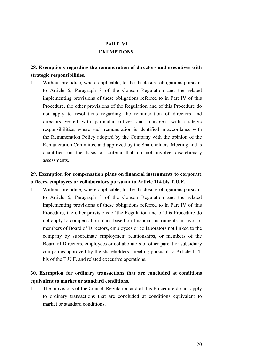# **PART VI EXEMPTIONS**

# **28. Exemptions regarding the remuneration of directors and executives with strategic responsibilities.**

1. Without prejudice, where applicable, to the disclosure obligations pursuant to Article 5, Paragraph 8 of the Consob Regulation and the related implementing provisions of these obligations referred to in Part IV of this Procedure, the other provisions of the Regulation and of this Procedure do not apply to resolutions regarding the remuneration of directors and directors vested with particular offices and managers with strategic responsibilities, where such remuneration is identified in accordance with the Remuneration Policy adopted by the Company with the opinion of the Remuneration Committee and approved by the Shareholders' Meeting and is quantified on the basis of criteria that do not involve discretionary assessments.

# **29. Exemption for compensation plans on financial instruments to corporate officers, employees or collaborators pursuant to Article 114 bis T.U.F.**

1. Without prejudice, where applicable, to the disclosure obligations pursuant to Article 5, Paragraph 8 of the Consob Regulation and the related implementing provisions of these obligations referred to in Part IV of this Procedure, the other provisions of the Regulation and of this Procedure do not apply to compensation plans based on financial instruments in favor of members of Board of Directors, employees or collaborators not linked to the company by subordinate employment relationships, or members of the Board of Directors, employees or collaborators of other parent or subsidiary companies approved by the shareholders' meeting pursuant to Article 114 bis of the T.U.F. and related executive operations.

# **30. Exemption for ordinary transactions that are concluded at conditions equivalent to market or standard conditions.**

1. The provisions of the Consob Regulation and of this Procedure do not apply to ordinary transactions that are concluded at conditions equivalent to market or standard conditions.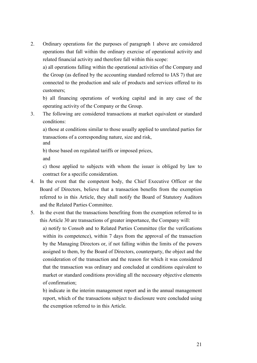2. Ordinary operations for the purposes of paragraph 1 above are considered operations that fall within the ordinary exercise of operational activity and related financial activity and therefore fall within this scope:

a) all operations falling within the operational activities of the Company and the Group (as defined by the accounting standard referred to IAS 7) that are connected to the production and sale of products and services offered to its customers;

b) all financing operations of working capital and in any case of the operating activity of the Company or the Group.

3. The following are considered transactions at market equivalent or standard conditions:

a) those at conditions similar to those usually applied to unrelated parties for transactions of a corresponding nature, size and risk, and

b) those based on regulated tariffs or imposed prices, and

c) those applied to subjects with whom the issuer is obliged by law to contract for a specific consideration.

- 4. In the event that the competent body, the Chief Executive Officer or the Board of Directors, believe that a transaction benefits from the exemption referred to in this Article, they shall notify the Board of Statutory Auditors and the Related Parties Committee.
- 5. In the event that the transactions benefiting from the exemption referred to in this Article 30 are transactions of greater importance, the Company will:

a) notify to Consob and to Related Parties Committee (for the verifications within its competence), within 7 days from the approval of the transaction by the Managing Directors or, if not falling within the limits of the powers assigned to them, by the Board of Directors, counterparty, the object and the consideration of the transaction and the reason for which it was considered that the transaction was ordinary and concluded at conditions equivalent to market or standard conditions providing all the necessary objective elements of confirmation;

b) indicate in the interim management report and in the annual management report, which of the transactions subject to disclosure were concluded using the exemption referred to in this Article.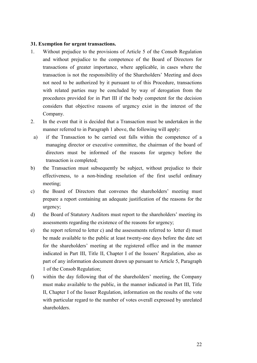#### **31. Exemption for urgent transactions.**

- 1. Without prejudice to the provisions of Article 5 of the Consob Regulation and without prejudice to the competence of the Board of Directors for transactions of greater importance, where applicable, in cases where the transaction is not the responsibility of the Shareholders' Meeting and does not need to be authorized by it pursuant to of this Procedure, transactions with related parties may be concluded by way of derogation from the procedures provided for in Part III if the body competent for the decision considers that objective reasons of urgency exist in the interest of the Company.
- 2. In the event that it is decided that a Transaction must be undertaken in the manner referred to in Paragraph 1 above, the following will apply:
	- a) if the Transaction to be carried out falls within the competence of a managing director or executive committee, the chairman of the board of directors must be informed of the reasons for urgency before the transaction is completed;
- b) the Transaction must subsequently be subject, without prejudice to their effectiveness, to a non-binding resolution of the first useful ordinary meeting;
- c) the Board of Directors that convenes the shareholders' meeting must prepare a report containing an adequate justification of the reasons for the urgency;
- d) the Board of Statutory Auditors must report to the shareholders' meeting its assessments regarding the existence of the reasons for urgency;
- e) the report referred to letter c) and the assessments referred to letter d) must be made available to the public at least twenty-one days before the date set for the shareholders' meeting at the registered office and in the manner indicated in Part III, Title II, Chapter I of the Issuers' Regulation, also as part of any information document drawn up pursuant to Article 5, Paragraph 1 of the Consob Regulation;
- f) within the day following that of the shareholders' meeting, the Company must make available to the public, in the manner indicated in Part III, Title II, Chapter I of the Issuer Regulation, information on the results of the vote with particular regard to the number of votes overall expressed by unrelated shareholders.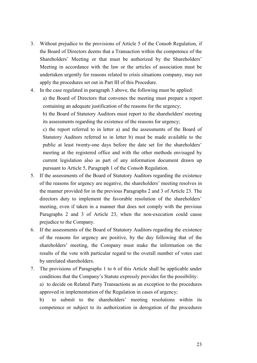- 3. Without prejudice to the provisions of Article 5 of the Consob Regulation, if the Board of Directors deems that a Transaction within the competence of the Shareholders' Meeting or that must be authorized by the Shareholders' Meeting in accordance with the law or the articles of association must be undertaken urgently for reasons related to crisis situations company, may not apply the procedures set out in Part III of this Procedure.
- 4. In the case regulated in paragraph 3 above, the following must be applied: a) the Board of Directors that convenes the meeting must prepare a report containing an adequate justification of the reasons for the urgency; b) the Board of Statutory Auditors must report to the shareholders' meeting

its assessments regarding the existence of the reasons for urgency;

c) the report referred to in letter a) and the assessments of the Board of Statutory Auditors referred to in letter b) must be made available to the public at least twenty-one days before the date set for the shareholders' meeting at the registered office and with the other methods envisaged by current legislation also as part of any information document drawn up pursuant to Article 5, Paragraph 1 of the Consob Regulation.

- 5. If the assessments of the Board of Statutory Auditors regarding the existence of the reasons for urgency are negative, the shareholders' meeting resolves in the manner provided for in the previous Paragraphs 2 and 3 of Article 23. The directors duty to implement the favorable resolution of the shareholders' meeting, even if taken in a manner that does not comply with the previous Paragraphs 2 and 3 of Article 23, when the non-execution could cause prejudice to the Company.
- 6. If the assessments of the Board of Statutory Auditors regarding the existence of the reasons for urgency are positive, by the day following that of the shareholders' meeting, the Company must make the information on the results of the vote with particular regard to the overall number of votes cast by unrelated shareholders.
- 7. The provisions of Paragraphs 1 to 6 of this Article shall be applicable under conditions that the Company's Statute expressly provides for the possibility:

a) to decide on Related Party Transactions as an exception to the procedures approved in implementation of the Regulation in cases of urgency;

b) to submit to the shareholders' meeting resolutions within its competence or subject to its authorization in derogation of the procedures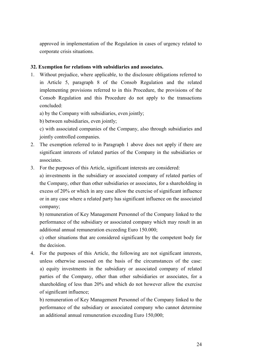approved in implementation of the Regulation in cases of urgency related to corporate crisis situations.

### **32. Exemption for relations with subsidiaries and associates.**

1. Without prejudice, where applicable, to the disclosure obligations referred to in Article 5, paragraph 8 of the Consob Regulation and the related implementing provisions referred to in this Procedure, the provisions of the Consob Regulation and this Procedure do not apply to the transactions concluded:

a) by the Company with subsidiaries, even jointly;

b) between subsidiaries, even jointly;

c) with associated companies of the Company, also through subsidiaries and jointly controlled companies.

- 2. The exemption referred to in Paragraph 1 above does not apply if there are significant interests of related parties of the Company in the subsidiaries or associates.
- 3. For the purposes of this Article, significant interests are considered:

a) investments in the subsidiary or associated company of related parties of the Company, other than other subsidiaries or associates, for a shareholding in excess of 20% or which in any case allow the exercise of significant influence or in any case where a related party has significant influence on the associated company;

b) remuneration of Key Management Personnel of the Company linked to the performance of the subsidiary or associated company which may result in an additional annual remuneration exceeding Euro 150.000;

c) other situations that are considered significant by the competent body for the decision.

4. For the purposes of this Article, the following are not significant interests, unless otherwise assessed on the basis of the circumstances of the case: a) equity investments in the subsidiary or associated company of related parties of the Company, other than other subsidiaries or associates, for a shareholding of less than 20% and which do not however allow the exercise of significant influence;

b) remuneration of Key Management Personnel of the Company linked to the performance of the subsidiary or associated company who cannot determine an additional annual remuneration exceeding Euro 150,000;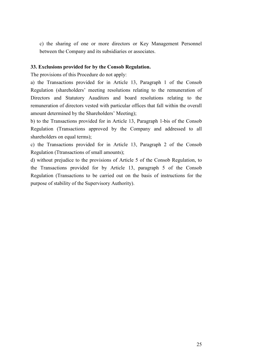c) the sharing of one or more directors or Key Management Personnel between the Company and its subsidiaries or associates.

#### **33. Exclusions provided for by the Consob Regulation.**

The provisions of this Procedure do not apply:

a) the Transactions provided for in Article 13, Paragraph 1 of the Consob Regulation (shareholders' meeting resolutions relating to the remuneration of Directors and Statutory Aauditors and board resolutions relating to the remuneration of directors vested with particular offices that fall within the overall amount determined by the Shareholders' Meeting);

b) to the Transactions provided for in Article 13, Paragraph 1-bis of the Consob Regulation (Transactions approved by the Company and addressed to all shareholders on equal terms);

c) the Transactions provided for in Article 13, Paragraph 2 of the Consob Regulation (Ttransactions of small amounts);

d) without prejudice to the provisions of Article 5 of the Consob Regulation, to the Transactions provided for by Article 13, paragraph 5 of the Consob Regulation (Transactions to be carried out on the basis of instructions for the purpose of stability of the Supervisory Authority).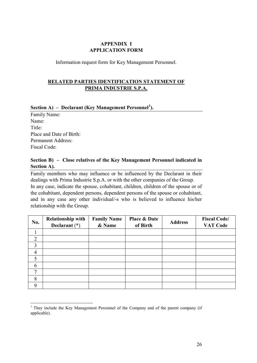## **APPENDIX I APPLICATION FORM**

Information request form for Key Management Personnel.

## **RELATED PARTIES IDENTIFICATION STATEMENT OF PRIMA INDUSTRIE S.P.A.**

# **Section A) – Declarant (Key Management Personnel[1](#page-25-0) ).**

Family Name: Name: Title: Place and Date of Birth: Permanent Address: Fiscal Code:

## **Section B) – Close relatives of the Key Management Personnel indicated in Section A).**

Family members who may influence or be influenced by the Declarant in their dealings with Prima Industrie S.p.A. or with the other companies of the Group. In any case, indicate the spouse, cohabitant, children, children of the spouse or of the cohabitant, dependent persons, dependent persons of the spouse or cohabitant, and in any case any other individual/-s who is believed to influence his/her relationship with the Group.

| No.            | <b>Relationship with</b><br>Declarant $(*)$ | <b>Family Name</b><br>& Name | <b>Place &amp; Date</b><br>of Birth | <b>Address</b> | <b>Fiscal Code/</b><br><b>VAT Code</b> |
|----------------|---------------------------------------------|------------------------------|-------------------------------------|----------------|----------------------------------------|
|                |                                             |                              |                                     |                |                                        |
| $\overline{2}$ |                                             |                              |                                     |                |                                        |
| 3              |                                             |                              |                                     |                |                                        |
| $\overline{4}$ |                                             |                              |                                     |                |                                        |
| 5              |                                             |                              |                                     |                |                                        |
| 6              |                                             |                              |                                     |                |                                        |
| ⇁              |                                             |                              |                                     |                |                                        |
| 8              |                                             |                              |                                     |                |                                        |
| Q              |                                             |                              |                                     |                |                                        |

<span id="page-25-0"></span> $1$  They include the Key Management Personnel of the Company and of the parent company (if applicable).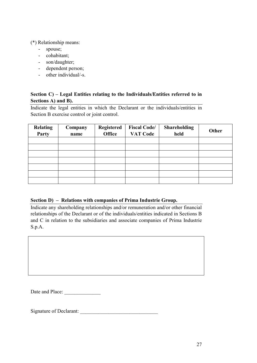(\*) Relationship means:

- spouse;
- cohabitant;
- son/daughter;
- dependent person;
- other individual/-s.

## **Section C) – Legal Entities relating to the Individuals/Entities referred to in Sections A) and B).**

Indicate the legal entities in which the Declarant or the individuals/entities in Section B exercise control or joint control.

| <b>Relating</b><br>Party | Company<br>name | <b>Registered</b><br><b>Office</b> | <b>Fiscal Code/</b><br><b>VAT Code</b> | <b>Shareholding</b><br>held | Other |
|--------------------------|-----------------|------------------------------------|----------------------------------------|-----------------------------|-------|
|                          |                 |                                    |                                        |                             |       |
|                          |                 |                                    |                                        |                             |       |
|                          |                 |                                    |                                        |                             |       |
|                          |                 |                                    |                                        |                             |       |
|                          |                 |                                    |                                        |                             |       |
|                          |                 |                                    |                                        |                             |       |
|                          |                 |                                    |                                        |                             |       |

## **Section D) – Relations with companies of Prima Industrie Group.**

Indicate any shareholding relationships and/or remuneration and/or other financial relationships of the Declarant or of the individuals/entities indicated in Sections B and C in relation to the subsidiaries and associate companies of Prima Industrie S.p.A.

Date and Place:

Signature of Declarant: \_\_\_\_\_\_\_\_\_\_\_\_\_\_\_\_\_\_\_\_\_\_\_\_\_\_\_\_\_\_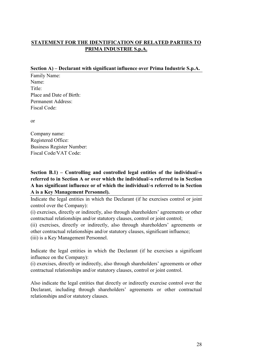# **STATEMENT FOR THE IDENTIFICATION OF RELATED PARTIES TO PRIMA INDUSTRIE S.p.A.**

### **Section A) – Declarant with significant influence over Prima Industrie S.p.A.**

Family Name: Name: Title: Place and Date of Birth: Permanent Address: Fiscal Code:

or

Company name: Registered Office: Business Register Number: Fiscal Code/VAT Code:

**Section B.1) – Controlling and controlled legal entities of the individual/-s referred to in Section A or over which the individual/-s referred to in Section A has significant influence or of which the individual/-s referred to in Section A is a Key Management Personnel).**

Indicate the legal entities in which the Declarant (if he exercises control or joint control over the Company):

(i) exercises, directly or indirectly, also through shareholders' agreements or other contractual relationships and/or statutory clauses, control or joint control;

(ii) exercises, directly or indirectly, also through shareholders' agreements or other contractual relationships and/or statutory clauses, significant influence;

(iii) is a Key Management Personnel.

Indicate the legal entities in which the Declarant (if he exercises a significant influence on the Company):

(i) exercises, directly or indirectly, also through shareholders' agreements or other contractual relationships and/or statutory clauses, control or joint control.

Also indicate the legal entities that directly or indirectly exercise control over the Declarant, including through shareholders' agreements or other contractual relationships and/or statutory clauses.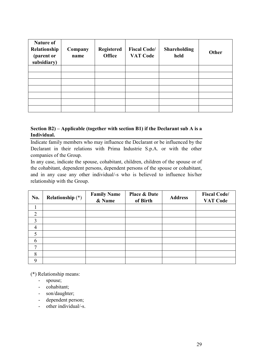| <b>Nature of</b><br>Relationship<br>(parent or<br>subsidiary) | Company<br>name | <b>Registered</b><br><b>Office</b> | <b>Fiscal Code/</b><br><b>VAT Code</b> | <b>Shareholding</b><br>held | Other |
|---------------------------------------------------------------|-----------------|------------------------------------|----------------------------------------|-----------------------------|-------|
|                                                               |                 |                                    |                                        |                             |       |
|                                                               |                 |                                    |                                        |                             |       |
|                                                               |                 |                                    |                                        |                             |       |
|                                                               |                 |                                    |                                        |                             |       |
|                                                               |                 |                                    |                                        |                             |       |
|                                                               |                 |                                    |                                        |                             |       |
|                                                               |                 |                                    |                                        |                             |       |

## **Section B2) – Applicable (together with section B1) if the Declarant sub A is a Individual.**

Indicate family members who may influence the Declarant or be influenced by the Declarant in their relations with Prima Industrie S.p.A. or with the other companies of the Group.

In any case, indicate the spouse, cohabitant, children, children of the spouse or of the cohabitant, dependent persons, dependent persons of the spouse or cohabitant, and in any case any other individual/-s who is believed to influence his/her relationship with the Group.

| <b>No.</b>     | <b>Relationship</b> (*) | <b>Family Name</b><br>& Name | <b>Place &amp; Date</b><br>of Birth | <b>Address</b> | <b>Fiscal Code/</b><br><b>VAT Code</b> |
|----------------|-------------------------|------------------------------|-------------------------------------|----------------|----------------------------------------|
|                |                         |                              |                                     |                |                                        |
| $\overline{2}$ |                         |                              |                                     |                |                                        |
| 3              |                         |                              |                                     |                |                                        |
| $\overline{4}$ |                         |                              |                                     |                |                                        |
| 5              |                         |                              |                                     |                |                                        |
| 6              |                         |                              |                                     |                |                                        |
| $\mathbf{7}$   |                         |                              |                                     |                |                                        |
| 8              |                         |                              |                                     |                |                                        |
| 9              |                         |                              |                                     |                |                                        |

(\*) Relationship means:

- spouse;
- cohabitant;
- son/daughter;
- dependent person;
- other individual/-s.